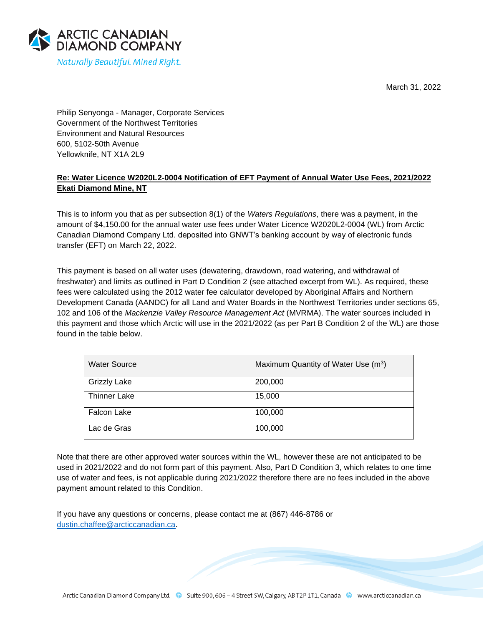March 31, 2022



Philip Senyonga - Manager, Corporate Services Government of the Northwest Territories Environment and Natural Resources 600, 5102-50th Avenue Yellowknife, NT X1A 2L9

## **Re: Water Licence W2020L2-0004 Notification of EFT Payment of Annual Water Use Fees, 2021/2022 Ekati Diamond Mine, NT**

This is to inform you that as per subsection 8(1) of the *Waters Regulations*, there was a payment, in the amount of \$4,150.00 for the annual water use fees under Water Licence W2020L2-0004 (WL) from Arctic Canadian Diamond Company Ltd. deposited into GNWT's banking account by way of electronic funds transfer (EFT) on March 22, 2022.

This payment is based on all water uses (dewatering, drawdown, road watering, and withdrawal of freshwater) and limits as outlined in Part D Condition 2 (see attached excerpt from WL). As required, these fees were calculated using the 2012 water fee calculator developed by Aboriginal Affairs and Northern Development Canada (AANDC) for all Land and Water Boards in the Northwest Territories under sections 65, 102 and 106 of the *Mackenzie Valley Resource Management Act* (MVRMA). The water sources included in this payment and those which Arctic will use in the 2021/2022 (as per Part B Condition 2 of the WL) are those found in the table below.

| <b>Water Source</b> | Maximum Quantity of Water Use (m <sup>3</sup> ) |
|---------------------|-------------------------------------------------|
| <b>Grizzly Lake</b> | 200,000                                         |
| <b>Thinner Lake</b> | 15,000                                          |
| <b>Falcon Lake</b>  | 100,000                                         |
| Lac de Gras         | 100,000                                         |

Note that there are other approved water sources within the WL, however these are not anticipated to be used in 2021/2022 and do not form part of this payment. Also, Part D Condition 3, which relates to one time use of water and fees, is not applicable during 2021/2022 therefore there are no fees included in the above payment amount related to this Condition.

If you have any questions or concerns, please contact me at (867) 446-8786 or [dustin.chaffee@arcticcanadian.ca.](mailto:dustin.chaffee@arcticcanadian.ca)